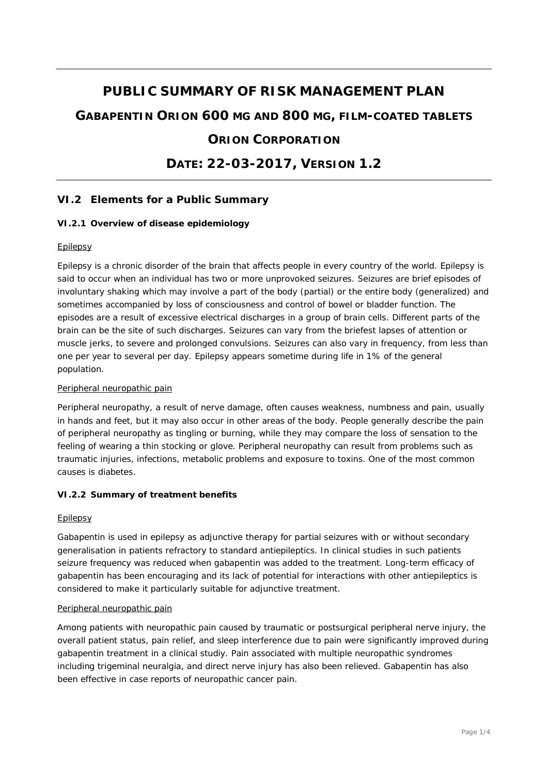# **PUBLIC SUMMARY OF RISK MANAGEMENT PLAN**

# **GABAPENTIN ORION 600 MG AND 800 MG, FILM-COATED TABLETS**

# **ORION CORPORATION**

# **DATE: 22-03-2017, VERSION 1.2**

# **VI.2 Elements for a Public Summary**

## *VI.2.1 Overview of disease epidemiology*

## Epilepsy

Epilepsy is a chronic disorder of the brain that affects people in every country of the world. Epilepsy is said to occur when an individual has two or more unprovoked seizures. Seizures are brief episodes of involuntary shaking which may involve a part of the body (partial) or the entire body (generalized) and sometimes accompanied by loss of consciousness and control of bowel or bladder function. The episodes are a result of excessive electrical discharges in a group of brain cells. Different parts of the brain can be the site of such discharges. Seizures can vary from the briefest lapses of attention or muscle jerks, to severe and prolonged convulsions. Seizures can also vary in frequency, from less than one per year to several per day. Epilepsy appears sometime during life in 1% of the general population.

#### Peripheral neuropathic pain

Peripheral neuropathy, a result of nerve damage, often causes weakness, numbness and pain, usually in hands and feet, but it may also occur in other areas of the body. People generally describe the pain of peripheral neuropathy as tingling or burning, while they may compare the loss of sensation to the feeling of wearing a thin stocking or glove. Peripheral neuropathy can result from problems such as traumatic injuries, infections, metabolic problems and exposure to toxins. One of the most common causes is diabetes.

#### *VI.2.2 Summary of treatment benefits*

#### **Epilepsy**

Gabapentin is used in epilepsy as adjunctive therapy for partial seizures with or without secondary generalisation in patients refractory to standard antiepileptics. In clinical studies in such patients seizure frequency was reduced when gabapentin was added to the treatment. Long-term efficacy of gabapentin has been encouraging and its lack of potential for interactions with other antiepileptics is considered to make it particularly suitable for adjunctive treatment.

#### Peripheral neuropathic pain

Among patients with neuropathic pain caused by traumatic or postsurgical peripheral nerve injury, the overall patient status, pain relief, and sleep interference due to pain were significantly improved during gabapentin treatment in a clinical studiy. Pain associated with multiple neuropathic syndromes including trigeminal neuralgia, and direct nerve injury has also been relieved. Gabapentin has also been effective in case reports of neuropathic cancer pain.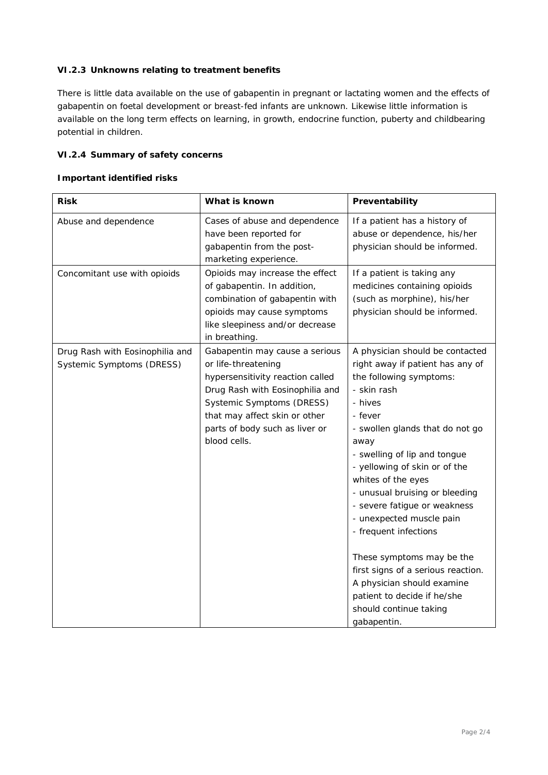## *VI.2.3 Unknowns relating to treatment benefits*

There is little data available on the use of gabapentin in pregnant or lactating women and the effects of gabapentin on foetal development or breast-fed infants are unknown. Likewise little information is available on the long term effects on learning, in growth, endocrine function, puberty and childbearing potential in children.

## *VI.2.4 Summary of safety concerns*

**Important identified risks**

| <b>Risk</b>                                                  | What is known                                                                                                                                                                                                                                | Preventability                                                                                                                                                                                                                                                                                                                                                                                                                                                                                                                                                        |
|--------------------------------------------------------------|----------------------------------------------------------------------------------------------------------------------------------------------------------------------------------------------------------------------------------------------|-----------------------------------------------------------------------------------------------------------------------------------------------------------------------------------------------------------------------------------------------------------------------------------------------------------------------------------------------------------------------------------------------------------------------------------------------------------------------------------------------------------------------------------------------------------------------|
| Abuse and dependence                                         | Cases of abuse and dependence<br>have been reported for<br>gabapentin from the post-<br>marketing experience.                                                                                                                                | If a patient has a history of<br>abuse or dependence, his/her<br>physician should be informed.                                                                                                                                                                                                                                                                                                                                                                                                                                                                        |
| Concomitant use with opioids                                 | Opioids may increase the effect<br>of gabapentin. In addition,<br>combination of gabapentin with<br>opioids may cause symptoms<br>like sleepiness and/or decrease<br>in breathing.                                                           | If a patient is taking any<br>medicines containing opioids<br>(such as morphine), his/her<br>physician should be informed.                                                                                                                                                                                                                                                                                                                                                                                                                                            |
| Drug Rash with Eosinophilia and<br>Systemic Symptoms (DRESS) | Gabapentin may cause a serious<br>or life-threatening<br>hypersensitivity reaction called<br>Drug Rash with Eosinophilia and<br>Systemic Symptoms (DRESS)<br>that may affect skin or other<br>parts of body such as liver or<br>blood cells. | A physician should be contacted<br>right away if patient has any of<br>the following symptoms:<br>- skin rash<br>- hives<br>- fever<br>- swollen glands that do not go<br>away<br>- swelling of lip and tongue<br>- yellowing of skin or of the<br>whites of the eyes<br>- unusual bruising or bleeding<br>- severe fatigue or weakness<br>- unexpected muscle pain<br>- frequent infections<br>These symptoms may be the<br>first signs of a serious reaction.<br>A physician should examine<br>patient to decide if he/she<br>should continue taking<br>gabapentin. |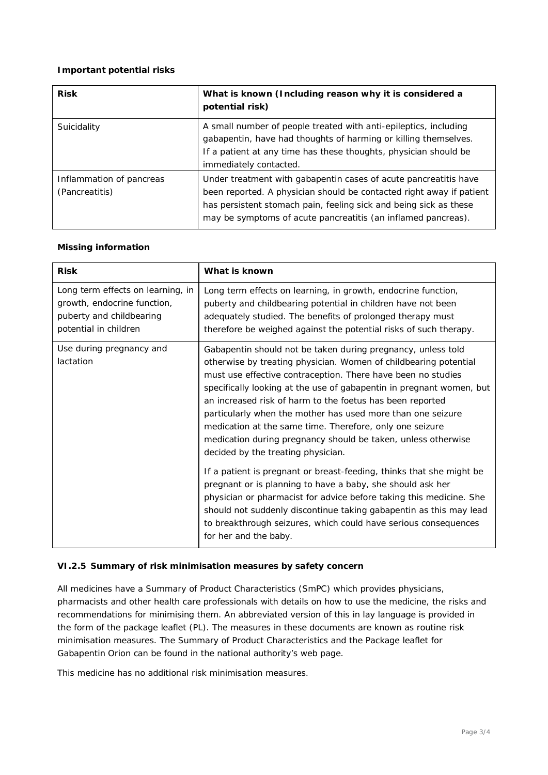### **Important potential risks**

| <b>Risk</b>                                | What is known (Including reason why it is considered a<br>potential risk)                                                                                                                                                                                                      |
|--------------------------------------------|--------------------------------------------------------------------------------------------------------------------------------------------------------------------------------------------------------------------------------------------------------------------------------|
| Suicidality                                | A small number of people treated with anti-epileptics, including<br>gabapentin, have had thoughts of harming or killing themselves.<br>If a patient at any time has these thoughts, physician should be<br>immediately contacted.                                              |
| Inflammation of pancreas<br>(Pancreatitis) | Under treatment with gabapentin cases of acute pancreatitis have<br>been reported. A physician should be contacted right away if patient<br>has persistent stomach pain, feeling sick and being sick as these<br>may be symptoms of acute pancreatitis (an inflamed pancreas). |

#### **Missing information**

| <b>Risk</b>                                                                                                           | What is known                                                                                                                                                                                                                                                                                                                                                                                                                                                                                                                                                                                                                                                                                                                                                                                                                                                                                                                                          |
|-----------------------------------------------------------------------------------------------------------------------|--------------------------------------------------------------------------------------------------------------------------------------------------------------------------------------------------------------------------------------------------------------------------------------------------------------------------------------------------------------------------------------------------------------------------------------------------------------------------------------------------------------------------------------------------------------------------------------------------------------------------------------------------------------------------------------------------------------------------------------------------------------------------------------------------------------------------------------------------------------------------------------------------------------------------------------------------------|
| Long term effects on learning, in<br>growth, endocrine function,<br>puberty and childbearing<br>potential in children | Long term effects on learning, in growth, endocrine function,<br>puberty and childbearing potential in children have not been<br>adequately studied. The benefits of prolonged therapy must<br>therefore be weighed against the potential risks of such therapy.                                                                                                                                                                                                                                                                                                                                                                                                                                                                                                                                                                                                                                                                                       |
| Use during pregnancy and<br>lactation                                                                                 | Gabapentin should not be taken during pregnancy, unless told<br>otherwise by treating physician. Women of childbearing potential<br>must use effective contraception. There have been no studies<br>specifically looking at the use of gabapentin in pregnant women, but<br>an increased risk of harm to the foetus has been reported<br>particularly when the mother has used more than one seizure<br>medication at the same time. Therefore, only one seizure<br>medication during pregnancy should be taken, unless otherwise<br>decided by the treating physician.<br>If a patient is pregnant or breast-feeding, thinks that she might be<br>pregnant or is planning to have a baby, she should ask her<br>physician or pharmacist for advice before taking this medicine. She<br>should not suddenly discontinue taking gabapentin as this may lead<br>to breakthrough seizures, which could have serious consequences<br>for her and the baby. |

*VI.2.5 Summary of risk minimisation measures by safety concern*

All medicines have a Summary of Product Characteristics (SmPC) which provides physicians, pharmacists and other health care professionals with details on how to use the medicine, the risks and recommendations for minimising them. An abbreviated version of this in lay language is provided in the form of the package leaflet (PL). The measures in these documents are known as routine risk minimisation measures. The Summary of Product Characteristics and the Package leaflet for Gabapentin Orion can be found in the national authority's web page.

This medicine has no additional risk minimisation measures.